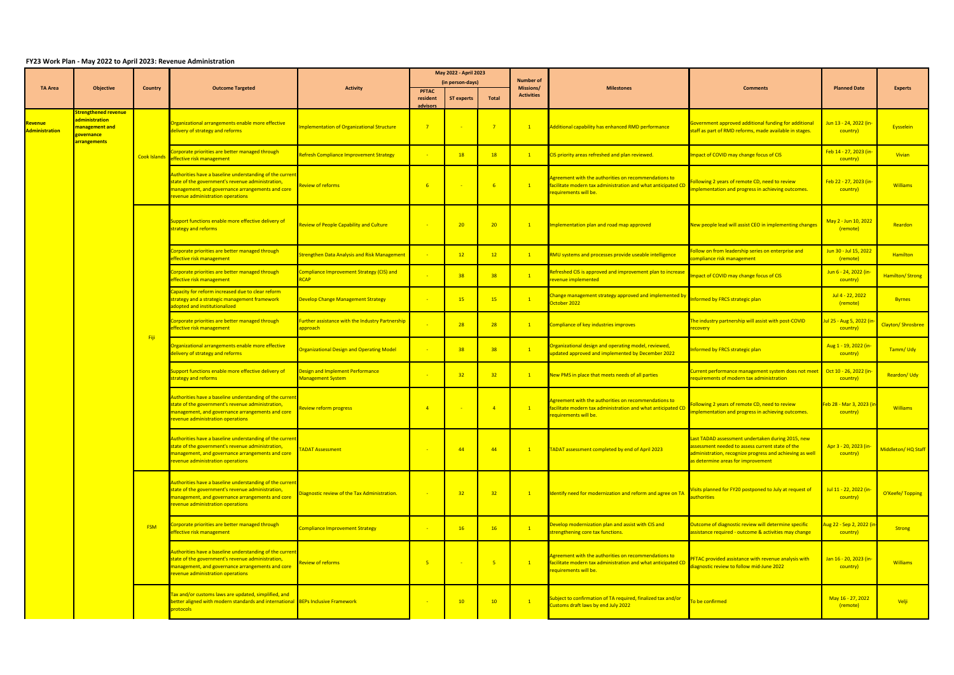## **FY23 Work Plan - May 2022 to April 2023: Revenue Administration**

|                                  |                                                                      |                |                                                                                                                                                                                                        |                                                                     |                          | May 2022 - April 2023 |                 |                               |                                                                                                                                               |                                                                                                                                                                                                         |                                                 |                    |
|----------------------------------|----------------------------------------------------------------------|----------------|--------------------------------------------------------------------------------------------------------------------------------------------------------------------------------------------------------|---------------------------------------------------------------------|--------------------------|-----------------------|-----------------|-------------------------------|-----------------------------------------------------------------------------------------------------------------------------------------------|---------------------------------------------------------------------------------------------------------------------------------------------------------------------------------------------------------|-------------------------------------------------|--------------------|
| <b>TA Area</b>                   | Objective                                                            | <b>Country</b> | <b>Outcome Targeted</b>                                                                                                                                                                                | <b>Activity</b>                                                     |                          | (in person-days)      |                 | <b>Number of</b><br>Missions/ | <b>Milestones</b>                                                                                                                             | Comments                                                                                                                                                                                                | <b>Planned Date</b>                             | <b>Experts</b>     |
|                                  |                                                                      |                |                                                                                                                                                                                                        |                                                                     | <b>PFTAC</b><br>resident | <b>ST experts</b>     | <b>Total</b>    | <b>Activities</b>             |                                                                                                                                               |                                                                                                                                                                                                         |                                                 |                    |
|                                  | Strengthened revenue                                                 |                |                                                                                                                                                                                                        |                                                                     | advisors                 |                       |                 |                               |                                                                                                                                               |                                                                                                                                                                                                         |                                                 |                    |
| <u>levenue</u><br>Administration | administration<br>management and<br>overnance<br><b>Irrangements</b> |                | Organizational arrangements enable more effective<br>delivery of strategy and reforms                                                                                                                  | <b>Implementation of Organizational Structure</b>                   |                          |                       |                 |                               | Additional capability has enhanced RMD performance                                                                                            | Government approved additional funding for additiona<br>staff as part of RMD reforms, made available in stages.                                                                                         | Jun 13 - 24, 2022 (in-<br>country)              | Eysselein          |
|                                  |                                                                      |                | Corporate priorities are better managed through<br>Cook Islands effective risk management                                                                                                              | <b>Refresh Compliance Improvement Strategy</b>                      |                          | 18                    | 18              |                               | CIS priority areas refreshed and plan reviewed.                                                                                               | mpact of COVID may change focus of CIS                                                                                                                                                                  | Feb 14 - 27, 2023 (in-<br><mark>country)</mark> | Vivian             |
|                                  |                                                                      |                | Authorities have a baseline understanding of the current<br>state of the government's revenue administration,<br>management, and governance arrangements and core<br>revenue administration operations | <b>Review of reforms</b>                                            |                          |                       |                 | $\sqrt{1}$                    | Agreement with the authorities on recommendations to<br>facilitate modern tax administration and what anticipated CD<br>requirements will be. | ollowing 2 years of remote CD, need to review<br>mplementation and progress in achieving outcomes.                                                                                                      | Feb 22 - 27, 2023 (in-<br>country)              | <b>Williams</b>    |
|                                  |                                                                      |                | Support functions enable more effective delivery of<br>strategy and reforms                                                                                                                            | <b>Review of People Capability and Culture</b>                      |                          | 20                    | 20              |                               | Implementation plan and road map approved                                                                                                     | New people lead will assist CEO in implementing changes                                                                                                                                                 | May 2 - Jun 10, 2022<br>(remote)                | Reardon            |
|                                  |                                                                      |                | Corporate priorities are better managed through<br>effective risk management                                                                                                                           | <b>Strengthen Data Analysis and Risk Management</b>                 |                          | 12                    | 12              |                               | RMU systems and processes provide useable intelligence                                                                                        | ollow on from leadership series on enterprise and<br>compliance risk management                                                                                                                         | Jun 30 - Jul 15, 2022<br>(remote)               | <b>Hamilton</b>    |
|                                  |                                                                      |                | Corporate priorities are better managed through<br>effective risk management                                                                                                                           | Compliance Improvement Strategy (CIS) and<br><b>RCAP</b>            |                          | 38                    | 38              |                               | Refreshed CIS is approved and improvement plan to increase<br>revenue implemented                                                             | mpact of COVID may change focus of CIS                                                                                                                                                                  | Jun 6 - 24, 2022 (in-<br>country)               | Hamilton/Strong    |
|                                  |                                                                      |                | Capacity for reform increased due to clear reform<br>strategy and a strategic management framework<br>adopted and institutionalized                                                                    | <b>Develop Change Management Strategy</b>                           |                          | 15                    | 15              | $\overline{1}$                | Change management strategy approved and implemented by<br>October 2022                                                                        | nformed by FRCS strategic plan                                                                                                                                                                          | Jul 4 - 22, 2022<br>(remote)                    | <b>Byrnes</b>      |
|                                  |                                                                      |                | Corporate priorities are better managed through<br>effective risk management                                                                                                                           | <b>Further assistance with the Industry Partnership</b><br>approach |                          | 28                    | 28              |                               | Compliance of key industries improves                                                                                                         | The industry partnership will assist with post-COVID<br>ecovery :                                                                                                                                       | ul 25 - Aug 5, 2022 (ir<br>country)             | Clayton/Shrosbree  |
|                                  |                                                                      | Fiji           | Organizational arrangements enable more effective<br>delivery of strategy and reforms                                                                                                                  | <b>Organizational Design and Operating Model</b>                    |                          | 38                    | 38              |                               | Organizational design and operating model, reviewed,<br>updated approved and implemented by December 2022                                     | Informed by FRCS strategic plan                                                                                                                                                                         | Aug 1 - 19, 2022 (in-<br>country)               | Tamm/Udy           |
|                                  |                                                                      |                | Support functions enable more effective delivery of<br>strategy and reforms                                                                                                                            | Design and Implement Performance<br>Management System               |                          | 32 <sup>2</sup>       | $32 -$          |                               | New PMS in place that meets needs of all parties                                                                                              | Current performance management system does not meet   Oct 10 - 26, 2022 (in-<br>requirements of modern tax administration                                                                               | country)                                        | Reardon/Udy        |
|                                  |                                                                      |                | Authorities have a baseline understanding of the current<br>state of the government's revenue administration,<br>management, and governance arrangements and core<br>revenue administration operations | <b>Review reform progress</b>                                       |                          |                       |                 | $\overline{1}$                | Agreement with the authorities on recommendations to<br>facilitate modern tax administration and what anticipated CD<br>requirements will be. | ollowing 2 years of remote CD, need to review<br>mplementation and progress in achieving outcomes.                                                                                                      | Feb 28 - Mar 3, 2023 (ir<br>country)            | <b>Williams</b>    |
|                                  |                                                                      |                | Authorities have a baseline understanding of the current<br>state of the government's revenue administration,<br>management, and governance arrangements and core<br>revenue administration operations | <b>TADAT Assessment</b>                                             |                          | 44                    | 44              |                               | TADAT assessment completed by end of April 2023                                                                                               | Last TADAD assessment undertaken during 2015, new<br>assessment needed to assess current state of the<br>administration, recognize progress and achieving as well<br>as determine areas for improvement | Apr 3 - 20, 2023 (in-<br>country)               | Middleton/HQ Staff |
|                                  |                                                                      |                | Authorities have a baseline understanding of the current<br>state of the government's revenue administration,<br>management, and governance arrangements and core<br>revenue administration operations | Diagnostic review of the Tax Administration.                        |                          | 32                    | 32 <sub>2</sub> | $\overline{1}$                | Identify need for modernization and reform and agree on TA                                                                                    | isits planned for FY20 postponed to July at request of<br><u>uthorities</u>                                                                                                                             | Jul 11 - 22, 2022 (in-<br>country)              | O'Keefe/Topping    |
|                                  |                                                                      | <b>FSM</b>     | Corporate priorities are better managed through<br>effective risk management                                                                                                                           | <b>Compliance Improvement Strategy</b>                              |                          | 16                    | <b>16</b>       | $\mathbf{1}$                  | Develop modernization plan and assist with CIS and<br>strengthening core tax functions.                                                       | Outcome of diagnostic review will determine specific<br>assistance required - outcome & activities may change                                                                                           | Aug 22 - Sep 2, 2022 (i<br>country)             | Strong             |
|                                  |                                                                      |                | Authorities have a baseline understanding of the current<br>state of the government's revenue administration,<br>management, and governance arrangements and core<br>revenue administration operations | <b>Review of reforms</b>                                            | $-5$                     |                       | $-5$            | $\mathbf{1}$                  | Agreement with the authorities on recommendations to<br>facilitate modern tax administration and what anticipated CD<br>requirements will be. | PFTAC provided assistance with revenue analysis with<br>liagnostic review to follow mid-June 2022                                                                                                       | Jan 16 - 20, 2023 (in-<br>country)              | <b>Williams</b>    |
|                                  |                                                                      |                | Tax and/or customs laws are updated, simplified, and<br>better aligned with modern standards and international BEPs Inclusive Framework<br><b>protocols</b>                                            |                                                                     |                          | 10                    | 10              | $\overline{1}$                | Subject to confirmation of TA required, finalized tax and/or<br>Customs draft laws by end July 2022                                           | o be confirmed                                                                                                                                                                                          | May 16 - 27, 2022<br>(remote)                   | <b>Velji</b>       |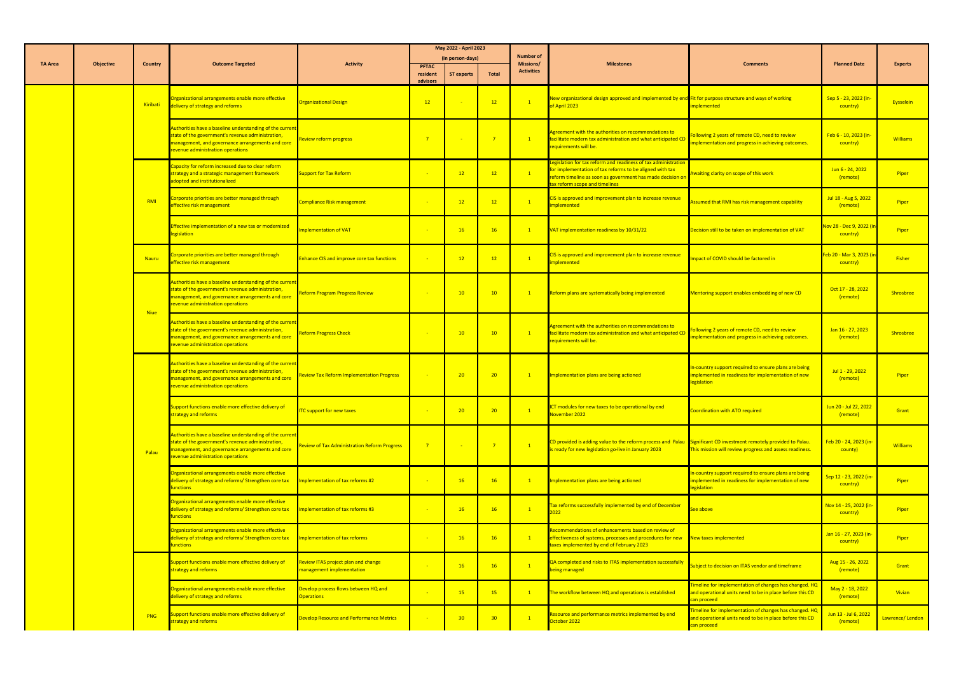|                |                  |                 |                                                                                                                                                                                                        |                                                                  |                      | May 2022 - April 2023 |                 |                               |                                                                                                                                                                                                                                  |                                                                                                                                   |                                                    |                 |
|----------------|------------------|-----------------|--------------------------------------------------------------------------------------------------------------------------------------------------------------------------------------------------------|------------------------------------------------------------------|----------------------|-----------------------|-----------------|-------------------------------|----------------------------------------------------------------------------------------------------------------------------------------------------------------------------------------------------------------------------------|-----------------------------------------------------------------------------------------------------------------------------------|----------------------------------------------------|-----------------|
| <b>TA Area</b> | <b>Objective</b> | <b>Country</b>  | <b>Outcome Targeted</b>                                                                                                                                                                                | <b>Activity</b>                                                  | <b>PFTAC</b>         | (in person-days)      |                 | <b>Number of</b><br>Missions/ | <b>Milestones</b>                                                                                                                                                                                                                | <b>Comments</b>                                                                                                                   | <b>Planned Date</b>                                | <b>Experts</b>  |
|                |                  |                 |                                                                                                                                                                                                        |                                                                  | resident<br>advisors | <b>ST experts</b>     | <b>Total</b>    | <b>Activities</b>             |                                                                                                                                                                                                                                  |                                                                                                                                   |                                                    |                 |
|                |                  | <b>Kiribati</b> | Organizational arrangements enable more effective<br>delivery of strategy and reforms                                                                                                                  | <b>Organizational Design</b>                                     | 12                   |                       | 12              | $\mathbf{1}$                  | New organizational design approved and implemented by end Fit for purpose structure and ways of working<br>of April 2023                                                                                                         | implemented                                                                                                                       | Sep 5 - 23, 2022 (in-<br>country)                  | Eysselein       |
|                |                  |                 | Authorities have a baseline understanding of the current<br>state of the government's revenue administration,<br>management, and governance arrangements and core<br>revenue administration operations | <b>Review reform progress</b>                                    | $\overline{7}$       |                       | $\overline{7}$  | $\sqrt{1}$                    | Agreement with the authorities on recommendations to<br>facilitate modern tax administration and what anticipated CD<br>requirements will be.                                                                                    | Following 2 years of remote CD, need to review<br>mplementation and progress in achieving outcomes.                               | Feb 6 - 10, 2023 (in-<br>country)                  | <b>Williams</b> |
|                |                  |                 | Capacity for reform increased due to clear reform<br>strategy and a strategic management framework<br>adopted and institutionalized                                                                    | <b>Support for Tax Reform</b>                                    |                      | 12                    |                 | $\sqrt{1}$                    | egislation for tax reform and readiness of tax administration<br>for implementation of tax reforms to be aligned with tax<br>reform timeline as soon as government has made decision on<br><b>Lax reform scope and timelines</b> | Awaiting clarity on scope of this work                                                                                            | Jun 6 - 24, 2022<br>(remote)                       | Piper           |
|                |                  | $R$ M           | Corporate priorities are better managed through<br>effective risk management                                                                                                                           | Compliance Risk management                                       |                      | 12                    | 12              | $\mathbf{1}$                  | CIS is approved and improvement plan to increase revenue<br>implemented                                                                                                                                                          | ssumed that RMI has risk management capability                                                                                    | Jul 18 - Aug 5, 2022<br>(remote)                   | Piper           |
|                |                  |                 | <b>Effective implementation of a new tax or modernized</b><br>legislation                                                                                                                              | Implementation of VAT                                            |                      | 16                    | 16              | $\mathbf{1}$                  | VAT implementation readiness by 10/31/22                                                                                                                                                                                         | Decision still to be taken on implementation of VAT                                                                               | <mark>Nov 28 - Dec 9, 2022 (ir</mark><br>country)  | Piper           |
|                |                  | <b>Nauru</b>    | Corporate priorities are better managed through<br>effective risk management                                                                                                                           | <b>Enhance CIS and improve core tax functions</b>                |                      | 12                    | 12              | $\mathbf{1}$                  | CIS is approved and improvement plan to increase revenue<br>mplemented                                                                                                                                                           | mpact of COVID should be factored in                                                                                              | <mark>Feb 20 - Mar 3, 2023 (i</mark> i<br>country) | <b>Fisher</b>   |
|                |                  |                 | Authorities have a baseline understanding of the current<br>state of the government's revenue administration,<br>management, and governance arrangements and core<br>revenue administration operations | Reform Program Progress Review                                   |                      | 10                    | 10 <sup>°</sup> | $\sqrt{1}$                    | Reform plans are systematically being implemented                                                                                                                                                                                | Mentoring support enables embedding of new CD                                                                                     | Oct 17 - 28, 2022<br>(remote)                      | Shrosbree       |
|                |                  | <b>Niue</b>     | Authorities have a baseline understanding of the curren<br>state of the government's revenue administration,<br>management, and governance arrangements and core<br>revenue administration operations  | <b>Reform Progress Check</b>                                     |                      | 10 <sup>°</sup>       | 10 <sup>1</sup> | $\mathbf{1}$                  | Agreement with the authorities on recommendations to<br>facilitate modern tax administration and what anticipated CD<br>requirements will be.                                                                                    | Following 2 years of remote CD, need to review<br>implementation and progress in achieving outcomes.                              | Jan 16 - 27, 2023<br>(remote)                      | Shrosbree       |
|                |                  |                 | Authorities have a baseline understanding of the current<br>state of the government's revenue administration,<br>management, and governance arrangements and core<br>revenue administration operations | <b>Review Tax Reform Implementation Progress</b>                 |                      | 20 <sup>°</sup>       | 20 <sup>2</sup> | $\mathbf{1}$                  | Implementation plans are being actioned                                                                                                                                                                                          | In-country support required to ensure plans are being<br>implemented in readiness for implementation of new<br>legislation        | Jul 1 - 29, 2022<br>(remote)                       | Piper           |
|                |                  |                 | Support functions enable more effective delivery of<br>strategy and reforms                                                                                                                            | <b>ITC support for new taxes</b>                                 |                      | 20                    | 20              | $\mathbf{1}$                  | ICT modules for new taxes to be operational by end<br>November 2022                                                                                                                                                              | Coordination with ATO required                                                                                                    | Jun 20 - Jul 22, 2022<br>(remote)                  | Grant           |
|                |                  | Palau           | Authorities have a baseline understanding of the current<br>state of the government's revenue administration,<br>management, and governance arrangements and core<br>revenue administration operations | <b>Review of Tax Administration Reform Progress</b>              | $\overline{7}$       |                       |                 | $\mathbf{1}$                  | CD provided is adding value to the reform process and Palau Significant CD investment remotely provided to Palau<br>is ready for new legislation go-live in January 2023                                                         | This mission will review progress and assess readiness.                                                                           | Feb 20 - 24, 2023 (in-<br><mark>county)</mark>     | <b>Williams</b> |
|                |                  |                 | Organizational arrangements enable more effective<br>delivery of strategy and reforms/ Strengthen core tax<br><u>unctions</u>                                                                          | Implementation of tax reforms #2                                 |                      | 16                    | 16 <sup>2</sup> | $\mathbf{1}$                  | Implementation plans are being actioned                                                                                                                                                                                          | In-country support required to ensure plans are being<br>implemented in readiness for implementation of new<br>legislation        | Sep 12 - 23, 2022 (in<br>country)                  | Piper           |
|                |                  |                 | Organizational arrangements enable more effective<br>delivery of strategy and reforms/ Strengthen core tax<br><u>unctions</u>                                                                          | Implementation of tax reforms #3                                 |                      | 16                    | 16              | $\overline{1}$                | Tax reforms successfully implemented by end of December<br>2022                                                                                                                                                                  | <u>See above</u>                                                                                                                  | Nov 14 - 25, 2022 (in<br>country)                  | Piper           |
|                |                  |                 | Organizational arrangements enable more effective<br>delivery of strategy and reforms/ Strengthen core tax<br><u>unctions</u>                                                                          | Implementation of tax reforms                                    |                      | 16                    |                 | $\sqrt{1}$                    | Recommendations of enhancements based on review of<br>effectiveness of systems, processes and procedures for new<br>taxes implemented by end of February 2023                                                                    | New taxes implemented                                                                                                             | Jan 16 - 27, 2023 (in-<br>country)                 | Piper           |
|                |                  |                 | Support functions enable more effective delivery of<br>strategy and reforms                                                                                                                            | Review ITAS project plan and change<br>nanagement implementation |                      | 16                    |                 | $\sqrt{1}$                    | QA completed and risks to ITAS implementation successfully<br>being managed                                                                                                                                                      | ubject to decision on ITAS vendor and timeframe                                                                                   | Aug 15 - 26, 2022<br>(remote)                      | Grant           |
|                |                  |                 | Organizational arrangements enable more effective<br>delivery of strategy and reforms                                                                                                                  | Develop process flows between HQ and<br><b>Operations</b>        |                      | 15                    |                 |                               | The workflow between HQ and operations is established                                                                                                                                                                            | Timeline for implementation of changes has changed. HQ<br>and operational units need to be in place before this CD<br>can proceed | May 2 - 18, 2022<br>(remote)                       | Vivian          |
|                |                  | <b>PNG</b>      | Support functions enable more effective delivery of<br>strategy and reforms                                                                                                                            | Develop Resource and Performance Metrics                         |                      | 30 <sub>o</sub>       | 30              | $\sqrt{1}$                    | Resource and performance metrics implemented by end<br>October 2022                                                                                                                                                              | Fimeline for implementation of changes has changed. HQ<br>and operational units need to be in place before this CD<br>can proceed | Jun 13 - Jul 6, 2022<br>(remote)                   | Lawrence/Lendon |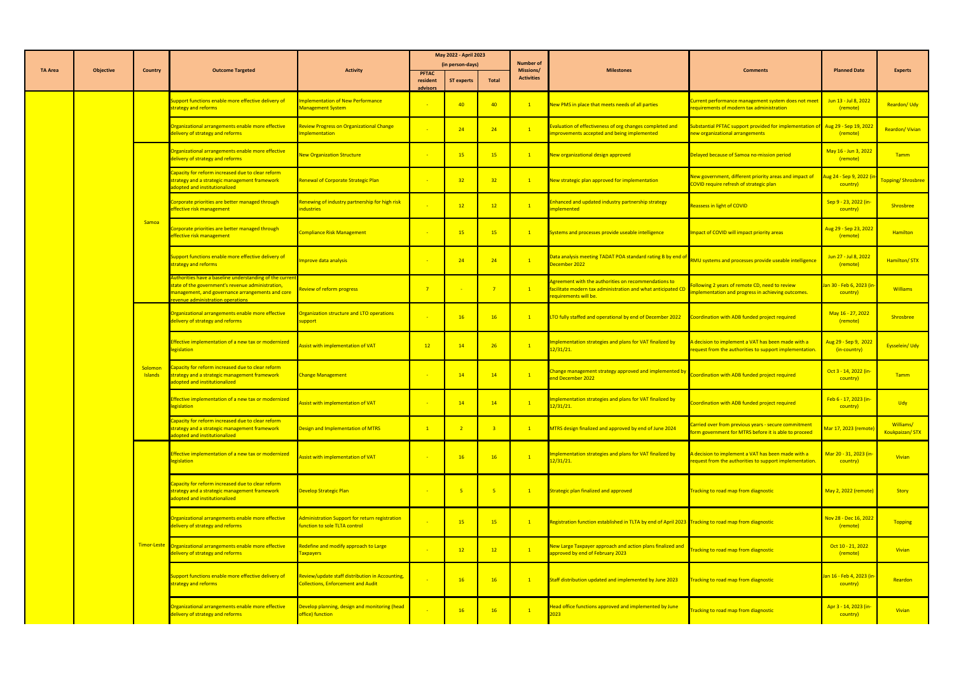|                |                  |                           |                                                                                                                                                                                                      |                                                                                              |                          | May 2022 - April 2023<br>(in person-days) |                          | <b>Number of</b>               |                                                                                                                                               |                                                                                                                   | <b>Planned Date</b>                             |                                    |
|----------------|------------------|---------------------------|------------------------------------------------------------------------------------------------------------------------------------------------------------------------------------------------------|----------------------------------------------------------------------------------------------|--------------------------|-------------------------------------------|--------------------------|--------------------------------|-----------------------------------------------------------------------------------------------------------------------------------------------|-------------------------------------------------------------------------------------------------------------------|-------------------------------------------------|------------------------------------|
| <b>TA Area</b> | <b>Objective</b> | <b>Country</b>            | <b>Outcome Targeted</b>                                                                                                                                                                              | <b>Activity</b>                                                                              | <b>PFTAC</b><br>resident | <b>ST experts</b>                         | Total                    | Missions/<br><b>Activities</b> | <b>Milestones</b>                                                                                                                             | <b>Comments</b>                                                                                                   |                                                 | <b>Experts</b>                     |
|                |                  |                           | Support functions enable more effective delivery of<br>strategy and reforms                                                                                                                          | <b>Implementation of New Performance</b><br><b>Management System</b>                         | advisors                 | 40                                        | 40                       |                                | New PMS in place that meets needs of all parties                                                                                              | Current performance management system does not meet<br>requirements of modern tax administration                  | Jun 13 - Jul 8, 2022<br>(remote)                | Reardon/Udy                        |
|                |                  |                           | Organizational arrangements enable more effective<br>delivery of strategy and reforms                                                                                                                | <b>Review Progress on Organizational Change</b><br>mplementation                             |                          | 24                                        | 24                       | $\overline{1}$                 | Evaluation of effectiveness of org changes completed and<br>improvements accepted and being implemented                                       | Substantial PFTAC support provided for implementation of Aug 29 - Sep 19, 2022<br>new organizational arrangements | (remote)                                        | Reardon/Vivian                     |
|                |                  |                           | Organizational arrangements enable more effective<br>delivery of strategy and reforms                                                                                                                | <b>New Organization Structure</b>                                                            |                          | 15                                        | 15                       |                                | New organizational design approved                                                                                                            | Delayed because of Samoa no-mission period                                                                        | May 16 - Jun 3, 2022<br>(remote)                | <b>Tamm</b>                        |
|                |                  |                           | apacity for reform increased due to clear reform<br>strategy and a strategic management framework<br>adopted and institutionalized                                                                   | Renewal of Corporate Strategic Plan                                                          |                          | 32                                        | 32 <sub>2</sub>          | $\mathbf{1}$                   | New strategic plan approved for implementation                                                                                                | New government, different priority areas and impact of<br>COVID require refresh of strategic plan                 | <mark>Aug 24 - Sep 9, 2022 (</mark><br>country) | Topping/Shrosbree                  |
|                |                  |                           | Corporate priorities are better managed through<br>effective risk management                                                                                                                         | Renewing of industry partnership for high risk<br>industries                                 |                          | 12                                        | 12                       | $\mathbf{1}$                   | Inhanced and updated industry partnership strategy<br>mplemented                                                                              | <b>Reassess in light of COVID</b>                                                                                 | Sep 9 - 23, 2022 (in-<br>country)               | Shrosbree                          |
|                |                  | Samoa                     | Corporate priorities are better managed through<br>effective risk management                                                                                                                         | <b>Compliance Risk Management</b>                                                            | - 2                      | 15                                        | 15 <sup>2</sup>          | $\mathbf{1}$                   | Systems and processes provide useable intelligence                                                                                            | Impact of COVID will impact priority areas                                                                        | Aug 29 - Sep 23, 2022<br>(remote)               | <b>Hamilton</b>                    |
|                |                  |                           | Support functions enable more effective delivery of<br>strategy and reforms                                                                                                                          | mprove data analysis                                                                         |                          | 24                                        | 24                       | $\mathbf{1}$                   | Data analysis meeting TADAT POA standard rating B by end of<br>December 2022                                                                  | RMU systems and processes provide useable intelligence                                                            | Jun 27 - Jul 8, 2022<br>(remote)                | Hamilton/STX                       |
|                |                  |                           | Authorities have a baseline understanding of the current<br>tate of the government's revenue administration,<br>management, and governance arrangements and core<br>evenue administration operations | Review of reform progress                                                                    | $\overline{7}$           |                                           | $\overline{\phantom{0}}$ | $\mathbf{1}$                   | Agreement with the authorities on recommendations to<br>facilitate modern tax administration and what anticipated CD<br>requirements will be. | Following 2 years of remote CD, need to review<br>mplementation and progress in achieving outcomes.               | Jan 30 - Feb 6, 2023 (i<br>country)             | <b>Williams</b>                    |
|                |                  |                           | Organizational arrangements enable more effective<br>delivery of strategy and reforms                                                                                                                | Organization structure and LTO operations<br>support                                         |                          | 16                                        | 16                       | $\mathbf{1}$                   | LTO fully staffed and operational by end of December 2022                                                                                     | Coordination with ADB funded project required                                                                     | May 16 - 27, 2022<br>(remote)                   | Shrosbree                          |
|                |                  |                           | ffective implementation of a new tax or modernized<br>legislation                                                                                                                                    | Assist with implementation of VAT                                                            | 12                       | 14                                        | 26                       | $\mathbf{1}$                   | mplementation strategies and plans for VAT finalized by<br><mark>12/31/21.</mark>                                                             | A decision to implement a VAT has been made with a<br>request from the authorities to support implementation.     | Aug 29 - Sep 9, 2022<br>(in-country)            | Eysselein/Udy                      |
|                |                  | Solomon<br><b>Islands</b> | Capacity for reform increased due to clear reform<br>strategy and a strategic management framework<br>adopted and institutionalized                                                                  | Change Management                                                                            |                          | 14                                        | 14                       | $\mathbf{1}$                   | Change management strategy approved and implemented by<br>end December 2022                                                                   | oordination with ADB funded project required                                                                      | Oct 3 - 14, 2022 (in-<br>country)               | <b>Tamm</b>                        |
|                |                  |                           | <b>Effective implementation of a new tax or modernized</b><br>legislation                                                                                                                            | Assist with implementation of VAT                                                            | <b>CO</b>                | 14                                        | 14                       | $\mathbf{1}$                   | mplementation strategies and plans for VAT finalized by<br><mark>12/31/21.</mark>                                                             | Coordination with ADB funded project required                                                                     | Feb 6 - 17, 2023 (in-<br>country)               | <b>Udy</b>                         |
|                |                  |                           | Capacity for reform increased due to clear reform<br>strategy and a strategic management framework<br>adopted and institutionalized                                                                  | Design and Implementation of MTRS                                                            | $\mathbf{1}$             | $\overline{2}$                            |                          | $\mathbf{1}$                   | MTRS design finalized and approved by end of June 2024                                                                                        | Carried over from previous years - secure commitmen<br>form government for MTRS before it is able to proceed      | Mar 17, 2023 (remote                            | <b>Williams/</b><br>Koukpaizan/STX |
|                |                  |                           | <b>Effective implementation of a new tax or modernized</b><br>legislation                                                                                                                            | Assist with implementation of VAT                                                            |                          | 16                                        | <b>16</b>                | $\mathbf{1}$                   | Implementation strategies and plans for VAT finalized by<br>12/31/21.                                                                         | A decision to implement a VAT has been made with a<br>request from the authorities to support implementation      | Mar 20 - 31, 2023 (in<br>country)               | Vivian                             |
|                |                  |                           | Capacity for reform increased due to clear reform<br>strategy and a strategic management framework<br>adopted and institutionalized                                                                  | <b>Develop Strategic Plan</b>                                                                |                          | $-5$                                      |                          | $\mathbf{1}$                   | <b>Strategic plan finalized and approved</b>                                                                                                  | <b>Tracking to road map from diagnostic</b>                                                                       | May 2, 2022 (remote)                            | Story                              |
|                |                  |                           | Organizational arrangements enable more effective<br>delivery of strategy and reforms                                                                                                                | Administration Support for return registration<br>function to sole TLTA control              |                          | 15                                        | 15                       |                                | Registration function established in TLTA by end of April 2023 Tracking to road map from diagnostic                                           |                                                                                                                   | Nov 28 - Dec 16, 2022<br>(remote)               | Topping                            |
|                |                  |                           | Timor-Leste Organizational arrangements enable more effective<br>delivery of strategy and reforms                                                                                                    | Redefine and modify approach to Large<br><b>Taxpayers</b>                                    |                          | 12                                        | 12                       | $\sqrt{1}$                     | New Large Taxpayer approach and action plans finalized and<br>approved by end of February 2023                                                | <b>Tracking to road map from diagnostic</b>                                                                       | Oct 10 - 21, 2022<br>(remote)                   | Vivian                             |
|                |                  |                           | Support functions enable more effective delivery of<br>strategy and reforms                                                                                                                          | Review/update staff distribution in Accounting,<br><b>Collections, Enforcement and Audit</b> |                          | 16                                        | 16                       |                                | Staff distribution updated and implemented by June 2023                                                                                       | Tracking to road map from diagnostic                                                                              | lan 16 - Feb 4, 2023 (ir<br>country)            | Reardon                            |
|                |                  |                           | Organizational arrangements enable more effective<br>delivery of strategy and reforms                                                                                                                | Develop planning, design and monitoring (head<br>office) function                            |                          | 16                                        | 16                       | $\sqrt{1}$                     | Head office functions approved and implemented by June                                                                                        | Tracking to road map from diagnostic                                                                              | Apr 3 - 14, 2023 (in-<br>country)               | Vivian                             |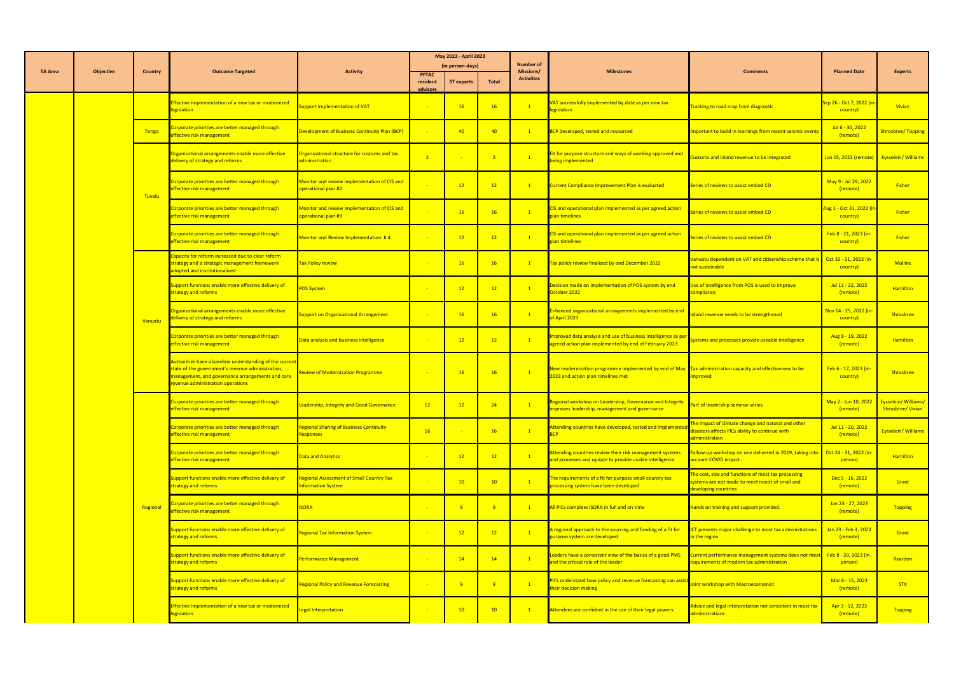|                |                  |          |                                                                                                                                                                                                       |                                                                      |                          | May 2022 - April 2023<br>(in person-days) |                 | <b>Number of</b>               |                                                                                                                                                 |                                                                                                                                |                                                   |                                                 |
|----------------|------------------|----------|-------------------------------------------------------------------------------------------------------------------------------------------------------------------------------------------------------|----------------------------------------------------------------------|--------------------------|-------------------------------------------|-----------------|--------------------------------|-------------------------------------------------------------------------------------------------------------------------------------------------|--------------------------------------------------------------------------------------------------------------------------------|---------------------------------------------------|-------------------------------------------------|
| <b>TA Area</b> | <b>Objective</b> | Country  | <b>Outcome Targeted</b>                                                                                                                                                                               | <b>Activity</b>                                                      | <b>PFTAC</b><br>resident | <b>ST experts</b>                         | <b>Total</b>    | Missions/<br><b>Activities</b> | <b>Milestones</b>                                                                                                                               | <b>Comments</b>                                                                                                                | <b>Planned Date</b>                               | <b>Experts</b>                                  |
|                |                  |          | Effective implementation of a new tax or modernized<br>egislation                                                                                                                                     | upport implementation of VAT                                         | advisors                 | 16                                        | 16              |                                | VAT successfully implemented by date as per new tax<br>legislation                                                                              | <b>Tracking to road map from diagnostic</b>                                                                                    | Sep 26 - Oct 7, 2022 (i<br>country)               | Vivian                                          |
|                |                  | Tonga    | Corporate priorities are better managed through<br>effective risk management                                                                                                                          | Development of Business Continuity Plan (BCP)                        |                          | 40                                        | 40              |                                | <b>BCP</b> developed, tested and resourced                                                                                                      | Important to build in learnings from recent seismic events                                                                     | Jul 6 - 30, 2022<br>(remote)                      | Shrosbree/Topping                               |
|                |                  |          | Organizational arrangements enable more effective<br>delivery of strategy and reforms                                                                                                                 | Organizational structure for customs and tax<br>administration       | $\overline{2}$           |                                           |                 | $\overline{1}$                 | Fit for purpose structure and ways of working approved and<br>being implemented                                                                 | istoms and inland revenue to be integrated                                                                                     | Jun 15, 2022 (remote) Eysselein/ Williams         |                                                 |
|                |                  | Tuvalu   | Corporate priorities are better managed through<br>effective risk management                                                                                                                          | Monitor and review implementation of CIS and<br>operational plan #2  |                          | 12                                        | 12              |                                | Current Compliance Improvement Plan is evaluated                                                                                                | Series of reviews to assist embed CD                                                                                           | May 9 - Jul 29, 2022<br>(remote)                  | Fisher                                          |
|                |                  |          | Corporate priorities are better managed through<br>effective risk management                                                                                                                          | Monitor and review implementation of CIS and<br>operational plan #3  |                          | 16                                        | 16              | $\overline{1}$                 | CIS and operational plan implemented as per agreed action<br><b>plan timelines</b>                                                              | eries of reviews to assist embed CD                                                                                            | <mark>Aug 1 - Oct 31, 2022 (</mark> i<br>country) | Fisher                                          |
|                |                  |          | Corporate priorities are better managed through<br>effective risk management                                                                                                                          | Monitor and Review Implementation #4                                 |                          | 12                                        | 12              | $\overline{1}$                 | CIS and operational plan implemented as per agreed action<br><b>plan timelines</b>                                                              | eries of reviews to assist embed CD                                                                                            | Feb 8 - 21, 2023 (in-<br>country)                 | <b>Fisher</b>                                   |
|                |                  |          | Capacity for reform increased due to clear reform<br>strategy and a strategic management framework<br>adopted and institutionalized                                                                   | Tax Policy review                                                    |                          | 16                                        | 16              |                                | Tax policy review finalized by end December 2022                                                                                                | Vanuatu dependent on VAT and citizenship scheme that is Oct 10 - 21, 2022 (in-<br>not sustainable                              | country)                                          | <b>Mullins</b>                                  |
|                |                  |          | Support functions enable more effective delivery of<br>strategy and reforms                                                                                                                           | <b>POS System</b>                                                    |                          | 12                                        | 12              | $\mathbf{1}$                   | Decision made on implementation of POS system by end<br>October 2022                                                                            | Use of intelligence from POS is used to improve<br>compliance                                                                  | Jul 11 - 22, 2022<br>(remote)                     | <b>Hamilton</b>                                 |
|                |                  | Vanuatu  | Organizational arrangements enable more effective<br>lelivery of strategy and reforms                                                                                                                 | upport on Organizational Arrangement                                 |                          | 16                                        | <b>16</b>       | $\overline{1}$                 | Enhanced organizational arrangements implemented by end<br>of April 2023                                                                        | nland revenue needs to be strengthened                                                                                         | Nov 14 - 25, 2022 (in<br>country)                 | Shrosbree                                       |
|                |                  |          | Corporate priorities are better managed through<br>effective risk management                                                                                                                          | Data analysis and business intelligence                              |                          | 12                                        | 12 <sup>2</sup> |                                | Improved data analysis and use of business intelligence as per<br>agreed action plan implemented by end of February 2023                        | ystems and processes provide useable intelligence                                                                              | Aug 8 - 19, 2022<br>(remote)                      | <b>Hamilton</b>                                 |
|                |                  |          | Authorities have a baseline understanding of the current<br>state of the government's revenue administration<br>management, and governance arrangements and core<br>revenue administration operations | <b>Review of Modernization Programme</b>                             |                          | 16                                        | <b>16</b>       |                                | New modernization programme implemented by end of May Tax administration capacity and effectiveness to be<br>2023 and action plan timelines met | mproved                                                                                                                        | Feb 6 - 17, 2023 (in-<br>country)                 | Shrosbree                                       |
|                |                  |          | Corporate priorities are better managed through<br>effective risk management                                                                                                                          | Leadership, Integrity and Good Governance                            | 12                       | 12                                        | 24              | $\overline{1}$                 | Regional workshop on Leadership, Governance and Integrity<br>improves leadership, management and governance                                     | Part of leadership seminar series                                                                                              | May 2 - Jun 10, 2022<br>(remote)                  | <b>Eysselein/Williams/</b><br>Shrosbree/ Vivian |
|                |                  |          | Corporate priorities are better managed through<br>effective risk management                                                                                                                          | <b>Regional Sharing of Business Continuity</b><br><b>Responses</b>   | 16                       |                                           | 16              | $\overline{1}$                 | Attending countries have developed, tested and implemente                                                                                       | he impact of climate change and natural and other<br>disasters affects PICs ability to continue with<br>administration         | Jul 11 - 20, 2022<br>(remote)                     | Eysselein/Williams                              |
|                |                  |          | Corporate priorities are better managed through<br>effective risk management                                                                                                                          | <b>Data and Analytics</b>                                            |                          | 12                                        | 12              | $\overline{1}$                 | Attending countries review their risk management system:<br>and processes and update to provide usable intelligence.                            | ollow-up workshop on one delivered in 2019, taking into<br>account COVID impact                                                | Oct 24 - 31, 2022 (in-<br>person)                 | <b>Hamilton</b>                                 |
|                |                  |          | Support functions enable more effective delivery of<br>strategy and reforms                                                                                                                           | <b>Regional Assessment of Small Country Tax</b><br>nformation System |                          | 10                                        | 10              |                                | The requirements of a fit for purpose small country tax<br>processing system have been developed                                                | The cost, size and functions of most tax processing<br>systems are not made to meet needs of small and<br>developing countries | Dec 5 - 16, 2022<br>(remote)                      | Grant                                           |
|                |                  | Regional | Corporate priorities are better managed through<br>effective risk management                                                                                                                          | <b>ISORA</b>                                                         |                          | $\overline{q}$                            |                 |                                | All PICs complete ISORA in full and on time                                                                                                     | Hands on training and support provided.                                                                                        | Jan 23 - 27, 2023<br>(remote)                     | Topping                                         |
|                |                  |          | Support functions enable more effective delivery of<br>strategy and reforms                                                                                                                           | <b>Regional Tax Information System</b>                               |                          | 12                                        | 12              | $\mathbf{1}$                   | A regional approach to the sourcing and funding of a fit for<br>purpose system are developed                                                    | CT presents major challenge to most tax administrations<br>n the region                                                        | Jan 23 - Feb 3, 2023<br>(remote)                  | Grant                                           |
|                |                  |          | Support functions enable more effective delivery of<br>strategy and reforms                                                                                                                           | Performance Management                                               |                          | 14                                        | 14              |                                | Leaders have a consistent view of the basics of a good PMS<br>and the critical role of the leader                                               | urrent performance management systems does not meet<br>requirements of modern tax administration                               | Feb 8 - 20, 2023 (in-<br>person)                  | Reardon                                         |
|                |                  |          | Support functions enable more effective delivery of<br>strategy and reforms                                                                                                                           | <b>Regional Policy and Revenue Forecasting</b>                       |                          | $\overline{9}$                            |                 |                                | PICs understand how policy and revenue forecasting can assist<br>their decision making                                                          | oint workshop with Macroeconomist                                                                                              | Mar 6 - 15, 2023<br>(remote)                      | <b>STX</b>                                      |
|                |                  |          | Effective implementation of a new tax or modernized<br>legislation                                                                                                                                    | <b>Legal Interpretation</b>                                          |                          | 10                                        | 10              |                                | Attendees are confident in the use of their legal powers                                                                                        | Advice and legal interpretation not consistent in most tax<br>administrations                                                  | Apr 3 - 12, 2023<br>(remote)                      | Topping                                         |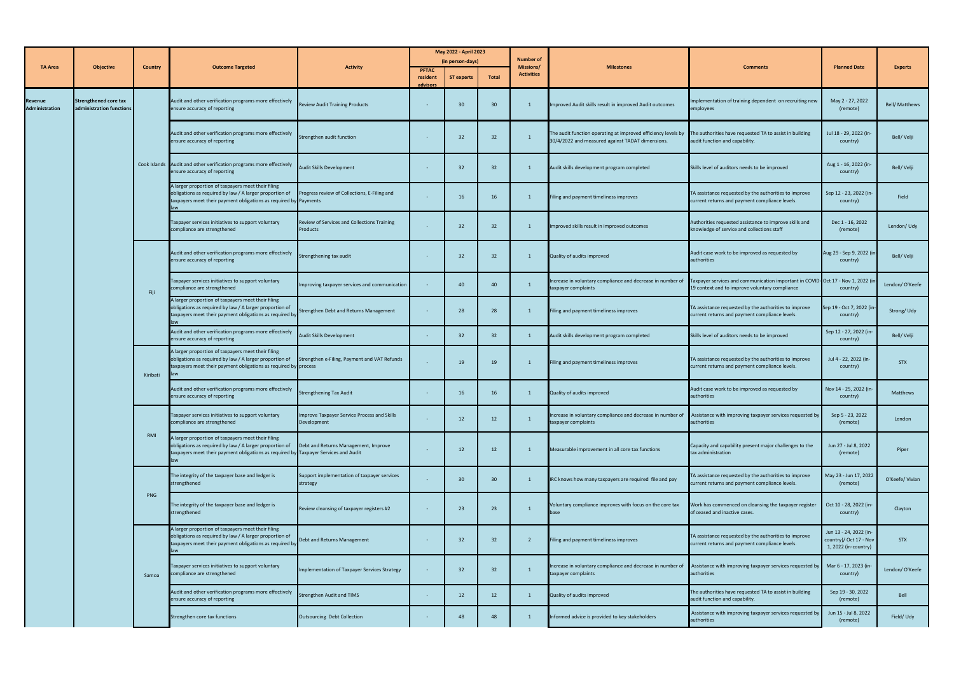|                                  |                                                          |          |                                                                                                                                                                                                                               |                                                                |                      | May 2022 - April 2023 |                 |                                |                                                                                                                                                                           |                                                                                                                                  |                                                                          |                |
|----------------------------------|----------------------------------------------------------|----------|-------------------------------------------------------------------------------------------------------------------------------------------------------------------------------------------------------------------------------|----------------------------------------------------------------|----------------------|-----------------------|-----------------|--------------------------------|---------------------------------------------------------------------------------------------------------------------------------------------------------------------------|----------------------------------------------------------------------------------------------------------------------------------|--------------------------------------------------------------------------|----------------|
|                                  |                                                          |          |                                                                                                                                                                                                                               |                                                                |                      | (in person-days)      |                 | <b>Number of</b>               |                                                                                                                                                                           |                                                                                                                                  |                                                                          |                |
| <b>TA Area</b>                   | Objective                                                | Country  | <b>Outcome Targeted</b>                                                                                                                                                                                                       | <b>Activity</b>                                                | <b>PFTAC</b>         |                       |                 | Missions/<br><b>Activities</b> | <b>Milestones</b>                                                                                                                                                         | <b>Comments</b>                                                                                                                  | <b>Planned Date</b>                                                      | <b>Experts</b> |
|                                  |                                                          |          |                                                                                                                                                                                                                               |                                                                | resident<br>advisors | <b>ST experts</b>     | <b>Total</b>    |                                |                                                                                                                                                                           |                                                                                                                                  |                                                                          |                |
| Revenue<br><b>Administration</b> | <b>Strengthened core tax</b><br>administration functions |          | Audit and other verification programs more effectively<br>ensure accuracy of reporting                                                                                                                                        | <b>Review Audit Training Products</b>                          | $\sim$               | 30                    | 30              |                                | Improved Audit skills result in improved Audit outcomes                                                                                                                   | Implementation of training dependent on recruiting new<br>employees                                                              | May 2 - 27, 2022<br>(remote)                                             | Bell/ Matthews |
|                                  |                                                          |          | Audit and other verification programs more effectively<br>ensure accuracy of reporting                                                                                                                                        | Strengthen audit function                                      |                      | 32                    | 32              |                                | The audit function operating at improved efficiency levels by The authorities have requested TA to assist in building<br>30/4/2022 and measured against TADAT dimensions. | audit function and capability.                                                                                                   | Jul 18 - 29, 2022 (in-<br>country)                                       | Bell/Velji     |
|                                  |                                                          |          | Cook Islands Audit and other verification programs more effectively<br>ensure accuracy of reporting                                                                                                                           | <b>Audit Skills Development</b>                                |                      | 32                    | 32              |                                | Audit skills development program completed                                                                                                                                | Skills level of auditors needs to be improved                                                                                    | Aug 1 - 16, 2022 (in-<br>country)                                        | Bell/Velji     |
|                                  |                                                          |          | A larger proportion of taxpayers meet their filing<br>obligations as required by law / A larger proportion of<br>taxpayers meet their payment obligations as required by Payments                                             | Progress review of Collections, E-Filing and                   |                      | 16                    | 16              |                                | Filing and payment timeliness improves                                                                                                                                    | TA assistance requested by the authorities to improve<br>current returns and payment compliance levels.                          | Sep 12 - 23, 2022 (in-<br>country)                                       | Field          |
|                                  |                                                          |          | Taxpayer services initiatives to support voluntary<br>compliance are strengthened                                                                                                                                             | Review of Services and Collections Training<br><b>Products</b> |                      | 32                    | 32              |                                | Improved skills result in improved outcomes                                                                                                                               | Authorities requested assistance to improve skills and<br>knowledge of service and collections staff                             | Dec 1 - 16, 2022<br>(remote)                                             | Lendon/Udy     |
|                                  |                                                          |          | Audit and other verification programs more effectively<br>ensure accuracy of reporting                                                                                                                                        | Strengthening tax audit                                        | $\sim$               | 32                    | 32              |                                | Quality of audits improved                                                                                                                                                | Audit case work to be improved as requested by<br>authorities                                                                    | Aug 29 - Sep 9, 2022 (in-<br>country)                                    | Bell/Velji     |
|                                  |                                                          | Fiji     | Taxpayer services initiatives to support voluntary<br>compliance are strengthened                                                                                                                                             | Improving taxpayer services and communication                  |                      | 40                    | 40              |                                | Increase in voluntary compliance and decrease in number of<br>taxpayer complaints                                                                                         | Taxpayer services and communication important in COVID-Oct 17 - Nov 1, 2022 (i<br>19 context and to improve voluntary compliance | country)                                                                 | Lendon/O'Keefe |
|                                  |                                                          |          | A larger proportion of taxpayers meet their filing<br>obligations as required by law / A larger proportion of<br>taxpayers meet their payment obligations as required by                                                      | Strengthen Debt and Returns Management                         | $\sim$               | 28                    | 28              |                                | Filing and payment timeliness improves                                                                                                                                    | TA assistance requested by the authorities to improve<br>current returns and payment compliance levels.                          | Sep 19 - Oct 7, 2022 (in<br>country)                                     | Strong/Udy     |
|                                  |                                                          |          | Audit and other verification programs more effectively<br>ensure accuracy of reporting                                                                                                                                        | Audit Skills Development                                       | $\sim$ $ \sim$       | 32                    | 32 <sub>2</sub> |                                | Audit skills development program completed                                                                                                                                | Skills level of auditors needs to be improved                                                                                    | Sep 12 - 27, 2022 (in-<br>country)                                       | Bell/Velji     |
|                                  |                                                          | Kiribati | A larger proportion of taxpayers meet their filing<br>obligations as required by law / A larger proportion of Strengthen e-Filing, Payment and VAT Refunds<br>taxpayers meet their payment obligations as required by process |                                                                |                      | 19                    | 19              |                                | Filing and payment timeliness improves                                                                                                                                    | TA assistance requested by the authorities to improve<br>current returns and payment compliance levels.                          | Jul 4 - 22, 2022 (in-<br>country)                                        | <b>STX</b>     |
|                                  |                                                          |          | Audit and other verification programs more effectively<br>ensure accuracy of reporting                                                                                                                                        | <b>Strengthening Tax Audit</b>                                 |                      | 16                    | 16              |                                | Quality of audits improved                                                                                                                                                | Audit case work to be improved as requested by<br>authorities                                                                    | Nov 14 - 25, 2022 (in-<br>country)                                       | Matthews       |
|                                  |                                                          |          | Taxpayer services initiatives to support voluntary<br>compliance are strengthened                                                                                                                                             | Improve Taxpayer Service Process and Skills<br>Development     |                      | 12                    | 12              |                                | Increase in voluntary compliance and decrease in number of<br>taxpayer complaints                                                                                         | Assistance with improving taxpayer services requested by<br>authorities                                                          | Sep 5 - 23, 2022<br>(remote)                                             | Lendon         |
|                                  |                                                          | RMI      | A larger proportion of taxpayers meet their filing<br>obligations as required by law / A larger proportion of<br>taxpayers meet their payment obligations as required by Taxpayer Services and Audit                          | Debt and Returns Management, Improve                           |                      | 12                    | 12              |                                | Measurable improvement in all core tax functions                                                                                                                          | Capacity and capability present major challenges to the<br>tax administration                                                    | Jun 27 - Jul 8, 2022<br>(remote)                                         | Piper          |
|                                  |                                                          |          | The integrity of the taxpayer base and ledger is<br>strengthened                                                                                                                                                              | Support implementation of taxpayer services<br>strategy        |                      | 30                    | 30              |                                | IRC knows how many taxpayers are required file and pay                                                                                                                    | TA assistance requested by the authorities to improve<br>current returns and payment compliance levels.                          | May 23 - Jun 17, 2022<br>(remote)                                        | O'Keefe/Vivian |
|                                  |                                                          | PNG      | The integrity of the taxpayer base and ledger is<br>strengthened                                                                                                                                                              | Review cleansing of taxpayer registers #2                      |                      | 23                    | 23              |                                | Voluntary compliance improves with focus on the core tax<br>base                                                                                                          | Work has commenced on cleansing the taxpayer register<br>of ceased and inactive cases.                                           | Oct 10 - 28, 2022 (in-<br>country)                                       | Clayton        |
|                                  |                                                          |          | A larger proportion of taxpayers meet their filing<br>obligations as required by law / A larger proportion of<br>taxpayers meet their payment obligations as required by                                                      | Debt and Returns Management                                    |                      | 32                    | 32              |                                | Filing and payment timeliness improves                                                                                                                                    | TA assistance requested by the authorities to improve<br>current returns and payment compliance levels.                          | Jun 13 - 24, 2022 (in-<br>country)/ Oct 17 - Nov<br>1, 2022 (in-country) | <b>STX</b>     |
|                                  |                                                          | Samoa    | Taxpayer services initiatives to support voluntary<br>compliance are strengthened                                                                                                                                             | Implementation of Taxpayer Services Strategy                   |                      | 32                    | 32              |                                | Increase in voluntary compliance and decrease in number of<br>taxpayer complaints                                                                                         | Assistance with improving taxpayer services requested by<br>authorities                                                          | Mar 6 - 17, 2023 (in-<br>country)                                        | Lendon/O'Keefe |
|                                  |                                                          |          | Audit and other verification programs more effectively<br>ensure accuracy of reporting                                                                                                                                        | <b>Strengthen Audit and TIMS</b>                               | $\sim$               | 12                    | 12              |                                | Quality of audits improved                                                                                                                                                | The authorities have requested TA to assist in building<br>audit function and capability.                                        | Sep 19 - 30, 2022<br>(remote)                                            | Bell           |
|                                  |                                                          |          | Strengthen core tax functions                                                                                                                                                                                                 | Outsourcing Debt Collection                                    |                      | 48                    | 48              |                                | Informed advice is provided to key stakeholders                                                                                                                           | Assistance with improving taxpayer services requested by<br>authorities                                                          | Jun 15 - Jul 8, 2022<br>(remote)                                         | Field/Udy      |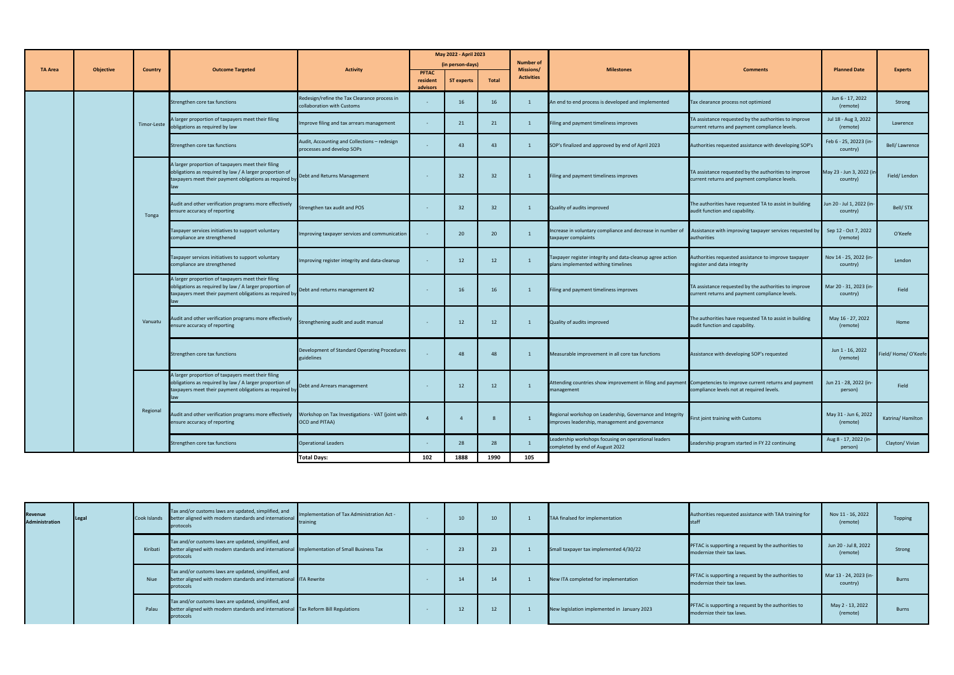|                |                  |                |                                                                                                                                                                          |                                                                            |                                      | May 2022 - April 2023<br>(in person-days) |                                       | <b>Number of</b>                      |                                                                                                                              |                                                                                                         |                                       |                    |
|----------------|------------------|----------------|--------------------------------------------------------------------------------------------------------------------------------------------------------------------------|----------------------------------------------------------------------------|--------------------------------------|-------------------------------------------|---------------------------------------|---------------------------------------|------------------------------------------------------------------------------------------------------------------------------|---------------------------------------------------------------------------------------------------------|---------------------------------------|--------------------|
| <b>TA Area</b> | <b>Objective</b> | <b>Country</b> | <b>Outcome Targeted</b>                                                                                                                                                  | <b>Activity</b>                                                            | <b>PFTAC</b><br>resident<br>advisors | <b>ST experts</b>                         | <b>Total</b>                          | <b>Missions/</b><br><b>Activities</b> | <b>Milestones</b>                                                                                                            | <b>Comments</b>                                                                                         | <b>Planned Date</b>                   | <b>Experts</b>     |
|                |                  |                | Strengthen core tax functions                                                                                                                                            | Redesign/refine the Tax Clearance process in<br>collaboration with Customs |                                      | 16                                        | 16                                    |                                       | An end to end process is developed and implemented                                                                           | Tax clearance process not optimized                                                                     | Jun 6 - 17, 2022<br>(remote)          | Strong             |
|                |                  | Timor-Leste    | A larger proportion of taxpayers meet their filing<br>obligations as required by law                                                                                     | Improve filing and tax arrears management                                  | $\sim$                               | 21                                        | 21                                    |                                       | Filing and payment timeliness improves                                                                                       | TA assistance requested by the authorities to improve<br>current returns and payment compliance levels. | Jul 18 - Aug 3, 2022<br>(remote)      | Lawrence           |
|                |                  |                | Strengthen core tax functions                                                                                                                                            | Audit, Accounting and Collections - redesign<br>processes and develop SOPs |                                      | 43                                        | 43                                    |                                       | SOP's finalized and approved by end of April 2023                                                                            | Authorities requested assistance with developing SOP's                                                  | Feb 6 - 25, 20223 (in-<br>country)    | Bell/Lawrence      |
|                |                  |                | A larger proportion of taxpayers meet their filing<br>obligations as required by law / A larger proportion of<br>taxpayers meet their payment obligations as required by | Debt and Returns Management                                                |                                      | 32                                        | 32                                    |                                       | Filing and payment timeliness improves                                                                                       | TA assistance requested by the authorities to improve<br>current returns and payment compliance levels. | May 23 - Jun 3, 2022 (in<br>country)  | Field/Lendon       |
|                |                  | Tonga          | Audit and other verification programs more effectively<br>ensure accuracy of reporting                                                                                   | Strengthen tax audit and POS                                               |                                      | 32                                        | 32                                    |                                       | Quality of audits improved                                                                                                   | The authorities have requested TA to assist in building<br>audit function and capability.               | Jun 20 - Jul 1, 2022 (in-<br>country) | Bell/STX           |
|                |                  |                | Taxpayer services initiatives to support voluntary<br>compliance are strengthened                                                                                        | Improving taxpayer services and communication                              |                                      | 20                                        | 20                                    |                                       | Increase in voluntary compliance and decrease in number of<br>taxpayer complaints                                            | Assistance with improving taxpayer services requested by<br>authorities                                 | Sep 12 - Oct 7, 2022<br>(remote)      | O'Keefe            |
|                |                  |                | Taxpayer services initiatives to support voluntary<br>compliance are strengthened                                                                                        | Improving register integrity and data-cleanup                              |                                      | 12                                        | 12                                    |                                       | Taxpayer register integrity and data-cleanup agree action<br>plans implemented withing timelines                             | Authorities requested assistance to improve taxpayer<br>register and data integrity                     | Nov 14 - 25, 2022 (in-<br>country)    | Lendon             |
|                |                  |                | A larger proportion of taxpayers meet their filing<br>obligations as required by law / A larger proportion of<br>taxpayers meet their payment obligations as required by | Debt and returns management #2                                             |                                      | 16                                        | 16                                    |                                       | Filing and payment timeliness improves                                                                                       | TA assistance requested by the authorities to improve<br>current returns and payment compliance levels. | Mar 20 - 31, 2023 (in-<br>country)    | Field              |
|                |                  | Vanuatu        | Audit and other verification programs more effectively<br>ensure accuracy of reporting                                                                                   | Strengthening audit and audit manual                                       | $\sim$ $ \sim$                       | 12                                        | 12                                    |                                       | Quality of audits improved                                                                                                   | The authorities have requested TA to assist in building<br>audit function and capability.               | May 16 - 27, 2022<br>(remote)         | Home               |
|                |                  |                | Strengthen core tax functions                                                                                                                                            | Development of Standard Operating Procedures<br>guidelines                 |                                      | 48                                        | $\begin{array}{ccc} & 48 \end{array}$ | $\mathbf{1}$                          | Measurable improvement in all core tax functions                                                                             | Assistance with developing SOP's requested                                                              | Jun 1 - 16, 2022<br>(remote)          | Field/Home/O'Keefe |
|                |                  |                | A larger proportion of taxpayers meet their filing<br>obligations as required by law / A larger proportion of<br>taxpayers meet their payment obligations as required by | Debt and Arrears management                                                |                                      | 12                                        | 12                                    | $\mathbf{1}$                          | Attending countries show improvement in filing and payment Competencies to improve current returns and payment<br>management | compliance levels not at required levels.                                                               | Jun 21 - 28, 2022 (in-<br>person)     | Field              |
|                |                  | Regional       | Audit and other verification programs more effectively    Vorkshop on Tax Investigations - VAT (joint with<br>ensure accuracy of reporting                               | OCO and PITAA)                                                             | $\overline{4}$                       | $\overline{4}$                            |                                       |                                       | Regional workshop on Leadership, Governance and Integrity<br>improves leadership, management and governance                  | First joint training with Customs                                                                       | May 31 - Jun 6, 2022<br>(remote)      | Katrina/Hamilton   |
|                |                  |                | Strengthen core tax functions                                                                                                                                            | <b>Operational Leaders</b>                                                 |                                      | 28                                        | 28                                    |                                       | Leadership workshops focusing on operational leaders<br>completed by end of August 2022                                      | Leadership program started in FY 22 continuing                                                          | Aug 8 - 17, 2022 (in-<br>person)      | Clayton/Vivian     |
|                |                  |                |                                                                                                                                                                          | <b>Total Days:</b>                                                         | 102                                  | 1888                                      | 1990                                  | 105                                   |                                                                                                                              |                                                                                                         |                                       |                    |

| <b>Revenue</b><br><b>Administration</b> | <b>ILegal</b> | Cook Islands | Tax and/or customs laws are updated, simplified, and<br>better aligned with modern standards and international<br>protocols                                      | Implementation of Tax Administration Act -<br><b>I</b> training | 10 | 10 | TAA finalsed for implementation             | Authorities requested assistance with TAA training for                                  | Nov 11 - 16, 2022<br>(remote)      | Topping      |
|-----------------------------------------|---------------|--------------|------------------------------------------------------------------------------------------------------------------------------------------------------------------|-----------------------------------------------------------------|----|----|---------------------------------------------|-----------------------------------------------------------------------------------------|------------------------------------|--------------|
|                                         |               | Kiribati     | Tax and/or customs laws are updated, simplified, and<br>better aligned with modern standards and international Implementation of Small Business Tax<br>protocols |                                                                 | 23 |    | Small taxpayer tax implemented 4/30/22      | <b>PFTAC</b> is supporting a request by the authorities to<br>modernize their tax laws. | Jun 20 - Jul 8, 2022<br>(remote)   | Strong       |
|                                         |               | <b>Niue</b>  | Tax and/or customs laws are updated, simplified, and<br>better aligned with modern standards and international ITA Rewrite<br>protocols                          |                                                                 | 14 | 14 | New ITA completed for implementation        | <b>PFTAC</b> is supporting a request by the authorities to<br>modernize their tax laws. | Mar 13 - 24, 2023 (in-<br>country) | <b>Burns</b> |
|                                         |               | Palau        | Tax and/or customs laws are updated, simplified, and<br>better aligned with modern standards and international Tax Reform Bill Regulations<br>protocols          |                                                                 | 12 |    | New legislation implemented in January 2023 | PFTAC is supporting a request by the authorities to<br>modernize their tax laws.        | May 2 - 13, 2022<br>(remote)       | <b>Burns</b> |